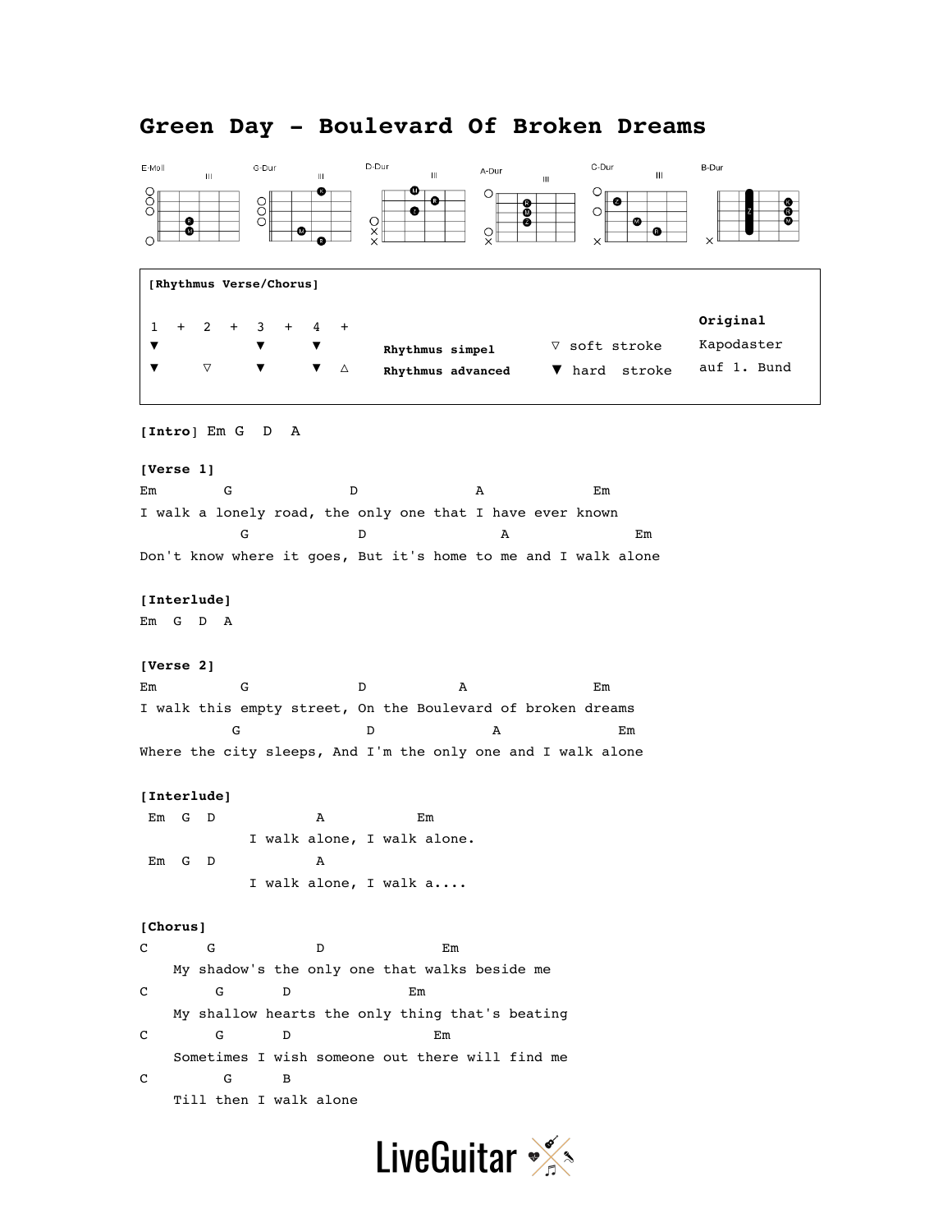#### D-Dur C-Dur E-Moll G-Dur A-Dur B-Dur  $\mathbf{m}$  $\mathbf{m}$  $\mathbf{H}^{\dagger}$  $\mathbf{m}$  $_{\rm HI}$ OOO ◍  $O_{\parallel}$  $\circ$ OOO  $\frac{0}{2}$  $\bigcirc$  $\times\times$ ø  $\frac{0}{x}$ ⊕  $\Omega$ **[Rhythmus Verse/Chorus] Original** 1 + 2 + 3 + 4 + ▽ soft stroke Kapodaster ▼ ▼ ▼ **Rhythmus simpel** auf 1. Bund ▼ ▽ ▼ ▼ △ ▼ hard stroke **Rhythmus advanced [Intro**] Em G D A **[Verse 1]** Em G D A Em I walk a lonely road, the only one that I have ever known G D D A Em Don't know where it goes, But it's home to me and I walk alone **[Interlude]** Em G D A **[Verse 2]** Em G D A Em I walk this empty street, On the Boulevard of broken dreams G D D A Em Where the city sleeps, And I'm the only one and I walk alone **[Interlude]** Em G D A Em I walk alone, I walk alone. Em G D A I walk alone, I walk a.... **[Chorus]** C G D Em My shadow's the only one that walks beside me C G D Em My shallow hearts the only thing that's beating C G D Em Sometimes I wish someone out there will find me C G B Till then I walk alone

# **Green Day - Boulevard Of Broken Dreams**

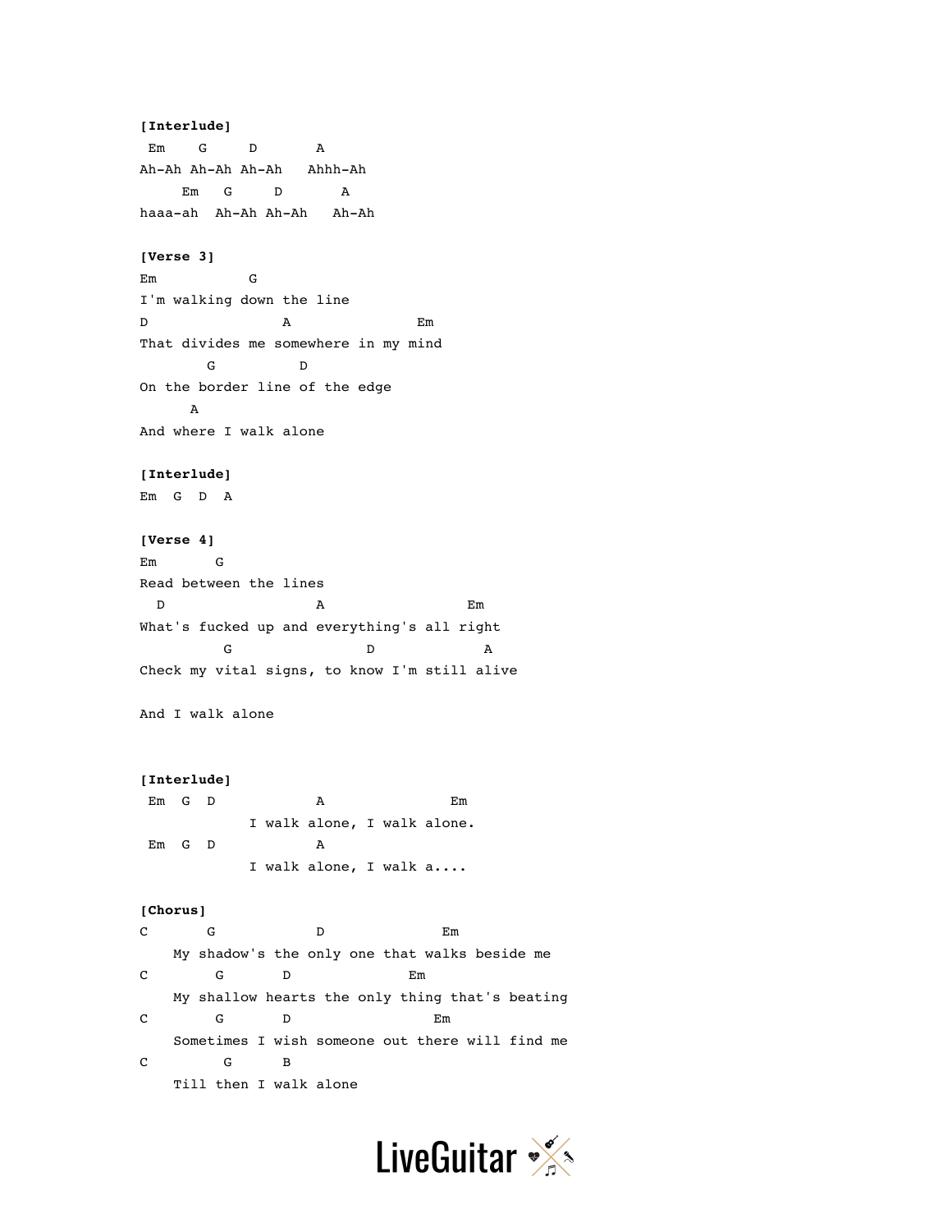## **[Interlude]**

Em G D A Ah-Ah Ah-Ah Ah-Ah Ahhh-Ah Em G D A haaa-ah Ah-Ah Ah-Ah Ah-Ah

### **[Verse 3]**

Em G I'm walking down the line D A Em That divides me somewhere in my mind G D On the border line of the edge A And where I walk alone

#### **[Interlude]**

Em G D A

## **[Verse 4]**

Em G Read between the lines D A Em What's fucked up and everything's all right G D A Check my vital signs, to know I'm still alive

And I walk alone

### **[Interlude]**

Em G D A Em I walk alone, I walk alone. Em G D A I walk alone, I walk a....

#### **[Chorus]**

C G D Em My shadow's the only one that walks beside me C G D Em My shallow hearts the only thing that's beating C G D Em Sometimes I wish someone out there will find me C G B Till then I walk alone